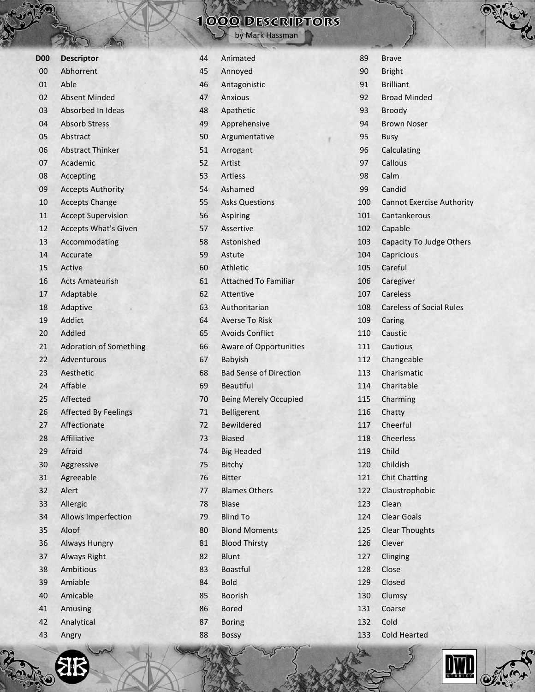| D <sub>00</sub> | <b>Descriptor</b>             |
|-----------------|-------------------------------|
| 00              | Abhorrent                     |
| 01              | Able                          |
| 02              | Absent Minded                 |
| 03              | Absorbed In Ideas             |
| 04              | <b>Absorb Stress</b>          |
| 05              | Abstract                      |
| 06              | <b>Abstract Thinker</b>       |
| 07              | Academic                      |
| 08              | Accepting                     |
| 09              | <b>Accepts Authority</b>      |
| 10              | <b>Accepts Change</b>         |
| 11              | <b>Accept Supervision</b>     |
| 12              | <b>Accepts What's Given</b>   |
| 13              | Accommodating                 |
| 14              | Accurate                      |
| 15              | Active                        |
| 16              | <b>Acts Amateurish</b>        |
| 17              | Adaptable                     |
| 18              | Adaptive                      |
| 19              | Addict                        |
| 20              | Addled                        |
| 21              | <b>Adoration of Something</b> |
| 22              | Adventurous                   |
| 23              | Aesthetic                     |
| 24              | Affable                       |
| 25              | Affected                      |
| 26              | <b>Affected By Feelings</b>   |
| 27              | Affectionate                  |
| 28              | Affiliative                   |
| 29              | Afraid                        |
| 30              | Aggressive                    |
| 31              | Agreeable                     |
| 32              | Alert                         |
| 33              | Allergic                      |
| 34              | <b>Allows Imperfection</b>    |
| 35              | Aloof                         |
| 36              | <b>Always Hungry</b>          |
| 37              | <b>Always Right</b>           |
| 38              | Ambitious                     |
| 39              | Amiable                       |
| 40              | Amicable                      |
| 41              | Amusing                       |
| 42              | Analytical                    |
| 43              | Angry                         |

#### Animated Annoyed Antagonistic Anxious Apathetic Apprehensive Argumentative Arrogant Artist Artless Ashamed Asks Questions Aspiring Assertive Astonished Astute Athletic Attached To Familiar Attentive Authoritarian Averse To Risk Avoids Conflict Aware of Opportunities Babyish Bad Sense of Direction Beautiful Being Merely Occupied Belligerent Bewildered Biased Big Headed Bitchy Bitter Blames Others Blase Blind To Blond Moments Blood Thirsty Blunt Boastful Bold Boorish Bored Boring Bossy

|     | C                                |
|-----|----------------------------------|
| 89  | <b>Brave</b>                     |
| 90  | <b>Bright</b>                    |
| 91  | <b>Brilliant</b>                 |
| 92  | <b>Broad Minded</b>              |
| 93  | <b>Broody</b>                    |
| 94  | <b>Brown Noser</b>               |
| 95  | <b>Busy</b>                      |
| 96  | Calculating                      |
| 97  | Callous                          |
| 98  | Calm                             |
| 99  | Candid                           |
| 100 | <b>Cannot Exercise Authority</b> |
| 101 | Cantankerous                     |
| 102 | Capable                          |
| 103 | Capacity To Judge Others         |
| 104 | Capricious                       |
| 105 | Careful                          |
| 106 | Caregiver                        |
| 107 | Careless                         |
| 108 | <b>Careless of Social Rules</b>  |
| 109 | Caring                           |
| 110 | Caustic                          |
| 111 | Cautious                         |
| 112 | Changeable                       |
| 113 | Charismatic                      |
| 114 | Charitable                       |
| 115 | Charming                         |
| 116 | Chatty                           |
| 117 | Cheerful                         |
| 118 | <b>Cheerless</b>                 |
| 119 | Child                            |
| 120 | Childish                         |
| 121 | <b>Chit Chatting</b>             |
| 122 | Claustrophobic                   |
| 123 | Clean                            |
| 124 | Clear Goals                      |
| 125 | <b>Clear Thoughts</b>            |
| 126 | Clever                           |
| 127 | Clinging                         |
| 128 | Close                            |
| 129 | Closed                           |
| 130 | Clumsy                           |
| 131 | Coarse                           |
| 132 | Cold                             |
| 133 | <b>Cold Hearted</b>              |





### 1000 DESCRIPTORS

by Mark Hassman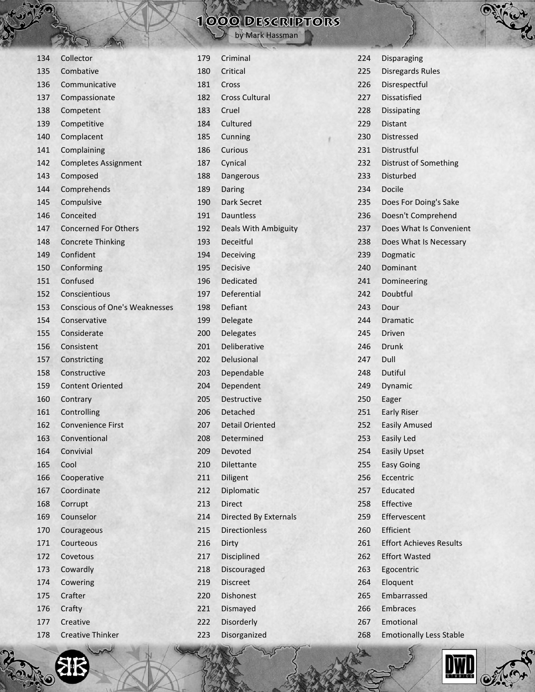| 134 | Collector                            |
|-----|--------------------------------------|
| 135 | Combative                            |
| 136 | Communicative                        |
| 137 | Compassionate                        |
| 138 | Competent                            |
| 139 | Competitive                          |
| 140 | Complacent                           |
| 141 | Complaining                          |
| 142 | <b>Completes Assignment</b>          |
| 143 | Composed                             |
| 144 | Comprehends                          |
| 145 | Compulsive                           |
| 146 | Conceited                            |
| 147 | <b>Concerned For Others</b>          |
| 148 | <b>Concrete Thinking</b>             |
| 149 | Confident                            |
| 150 | Conforming                           |
| 151 | Confused                             |
| 152 | Conscientious                        |
| 153 | <b>Conscious of One's Weaknesses</b> |
| 154 | Conservative                         |
| 155 | Considerate                          |
| 156 | Consistent                           |
| 157 | Constricting                         |
| 158 | Constructive                         |
| 159 | <b>Content Oriented</b>              |
| 160 | Contrary                             |
| 161 | Controlling                          |
| 162 | <b>Convenience First</b>             |
| 163 | Conventional                         |
| 164 | Convivial                            |
| 165 | Cool                                 |
| 166 | Cooperative                          |
| 167 | Coordinate                           |
| 168 | Corrupt                              |
| 169 | Counselor                            |
| 170 | Courageous                           |
| 171 | Courteous                            |
| 172 | Covetous                             |
| 173 | Cowardly                             |
| 174 | Cowering                             |
| 175 | Crafter                              |
| 176 | Crafty                               |
| 177 | Creative                             |
| 178 | <b>Creative Thinker</b>              |
|     |                                      |

ZI.

| 179 | Criminal                    |
|-----|-----------------------------|
| 180 | Critical                    |
| 181 | Cross                       |
| 182 | <b>Cross Cultural</b>       |
| 183 | Cruel                       |
| 184 | Cultured                    |
| 185 | Cunning                     |
| 186 | <b>Curious</b>              |
| 187 | Cynical                     |
| 188 | Dangerous                   |
| 189 | Daring                      |
| 190 | <b>Dark Secret</b>          |
| 191 | <b>Dauntless</b>            |
| 192 | <b>Deals With Ambiguity</b> |
| 193 | Deceitful                   |
| 194 | Deceiving                   |
| 195 | <b>Decisive</b>             |
| 196 | <b>Dedicated</b>            |
| 197 | Deferential                 |
| 198 | Defiant                     |
| 199 | Delegate                    |
| 200 | Delegates                   |
| 201 | Deliberative                |
| 202 | Delusional                  |
| 203 | Dependable                  |
| 204 | Dependent                   |
| 205 | <b>Destructive</b>          |
| 206 | Detached                    |
| 207 | <b>Detail Oriented</b>      |
| 208 | Determined                  |
| 209 | Devoted                     |
| 210 | Dilettante                  |
| 211 | Diligent                    |
| 212 | Diplomatic                  |
| 213 | Direct                      |
| 214 | Directed By Externals       |
| 215 | <b>Directionless</b>        |
| 216 | Dirty                       |
| 217 | Disciplined                 |
| 218 | Discouraged                 |
| 219 | Discreet                    |
| 220 | Dishonest                   |
| 221 | Dismayed                    |
| 222 | Disorderly                  |
| 223 | Disorganized                |
|     |                             |

| 224 | <b>Disparaging</b>             |  |
|-----|--------------------------------|--|
| 225 | <b>Disregards Rules</b>        |  |
| 226 | Disrespectful                  |  |
| 227 | <b>Dissatisfied</b>            |  |
| 228 | <b>Dissipating</b>             |  |
| 229 | Distant                        |  |
| 230 | Distressed                     |  |
| 231 | Distrustful                    |  |
| 232 | Distrust of Something          |  |
| 233 | <b>Disturbed</b>               |  |
| 234 | <b>Docile</b>                  |  |
| 235 | Does For Doing's Sake          |  |
| 236 | Doesn't Comprehend             |  |
| 237 | Does What Is Convenient        |  |
| 238 | Does What Is Necessary         |  |
| 239 | Dogmatic                       |  |
| 240 | Dominant                       |  |
| 241 | Domineering                    |  |
| 242 | Doubtful                       |  |
| 243 | Dour                           |  |
| 244 | Dramatic                       |  |
| 245 | Driven                         |  |
| 246 | <b>Drunk</b>                   |  |
| 247 | Dull                           |  |
| 248 | <b>Dutiful</b>                 |  |
| 249 | Dynamic                        |  |
| 250 | Eager                          |  |
| 251 | <b>Early Riser</b>             |  |
| 252 | <b>Easily Amused</b>           |  |
| 253 | Easily Led                     |  |
| 254 | <b>Easily Upset</b>            |  |
| 255 | <b>Easy Going</b>              |  |
| 256 | Eccentric                      |  |
| 257 | Educated                       |  |
| 258 | Effective                      |  |
| 259 | Effervescent                   |  |
| 260 | Efficient                      |  |
| 261 | <b>Effort Achieves Results</b> |  |
| 262 | <b>Effort Wasted</b>           |  |
| 263 | Egocentric                     |  |
| 264 | Eloquent                       |  |
| 265 | Embarrassed                    |  |
| 266 | Embraces                       |  |
| 267 | Emotional                      |  |

Emotionally Less Stable

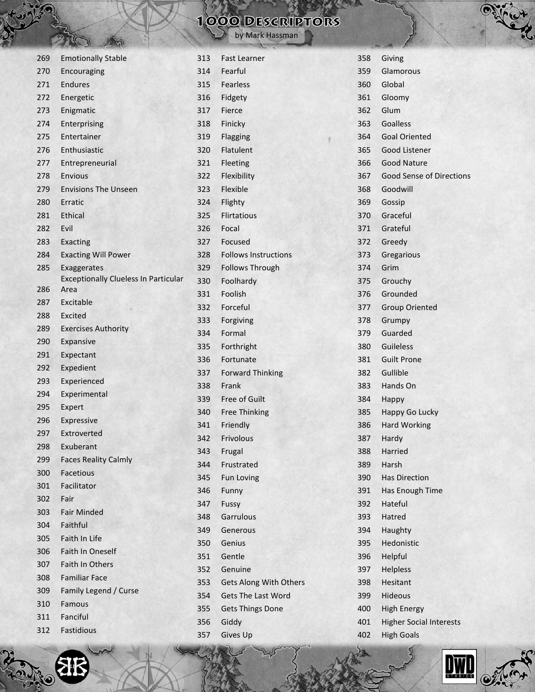|     | $M = 31$<br>$\rightarrow$ $\mathcal{N}$     |     |                               |
|-----|---------------------------------------------|-----|-------------------------------|
| 269 | <b>Emotionally Stable</b>                   | 313 | <b>Fast Learner</b>           |
| 270 | Encouraging                                 | 314 | Fearful                       |
| 271 | Endures                                     | 315 | <b>Fearless</b>               |
| 272 | Energetic                                   | 316 | Fidgety                       |
| 273 | Enigmatic                                   | 317 | Fierce                        |
| 274 | Enterprising                                | 318 | Finicky                       |
| 275 | Entertainer                                 | 319 | <b>Flagging</b>               |
| 276 | Enthusiastic                                | 320 | Flatulent                     |
| 277 | Entrepreneurial                             | 321 | Fleeting                      |
| 278 | <b>Envious</b>                              | 322 | Flexibility                   |
| 279 | <b>Envisions The Unseen</b>                 | 323 | Flexible                      |
| 280 | Erratic                                     | 324 | Flighty                       |
| 281 | <b>Ethical</b>                              | 325 | <b>Flirtatious</b>            |
| 282 | Evil                                        | 326 | Focal                         |
| 283 | <b>Exacting</b>                             | 327 | Focused                       |
| 284 | <b>Exacting Will Power</b>                  | 328 | <b>Follows Instructions</b>   |
| 285 | Exaggerates                                 | 329 | <b>Follows Through</b>        |
|     | <b>Exceptionally Clueless In Particular</b> | 330 | Foolhardy                     |
| 286 | Area                                        | 331 | <b>Foolish</b>                |
| 287 | Excitable                                   | 332 | Forceful                      |
| 288 | Excited                                     | 333 | Forgiving                     |
| 289 | <b>Exercises Authority</b>                  | 334 | Formal                        |
| 290 | Expansive                                   | 335 | Forthright                    |
| 291 | Expectant                                   | 336 | Fortunate                     |
| 292 | Expedient                                   | 337 | <b>Forward Thinking</b>       |
| 293 | Experienced                                 | 338 | Frank                         |
| 294 | Experimental                                | 339 | Free of Guilt                 |
| 295 | Expert                                      | 340 | <b>Free Thinking</b>          |
| 296 | Expressive                                  | 341 | Friendly                      |
| 297 | Extroverted                                 | 342 | Frivolous                     |
| 298 | Exuberant                                   | 343 | Frugal                        |
| 299 | <b>Faces Reality Calmly</b>                 | 344 | Frustrated                    |
| 300 | Facetious                                   | 345 | <b>Fun Loving</b>             |
| 301 | Facilitator                                 | 346 | Funny                         |
| 302 | Fair                                        | 347 | Fussy                         |
| 303 | <b>Fair Minded</b>                          | 348 | Garrulous                     |
| 304 | Faithful                                    | 349 | Generous                      |
| 305 | Faith In Life                               | 350 | Genius                        |
| 306 | <b>Faith In Oneself</b>                     | 351 | Gentle                        |
| 307 | Faith In Others                             | 352 | Genuine                       |
| 308 | <b>Familiar Face</b>                        | 353 | <b>Gets Along With Others</b> |
| 309 | Family Legend / Curse                       | 354 | <b>Gets The Last Word</b>     |
| 310 | Famous                                      | 355 | Gets Things Done              |
| 311 | Fanciful                                    | 356 | Giddy                         |

| 312 | Fastidious |  |
|-----|------------|--|
|     |            |  |

|     | 000 DESCRIPTORS<br>by Mark Hassman |
|-----|------------------------------------|
| 313 | <b>Fast Learner</b>                |
| 314 | Fearful                            |
| 315 | <b>Fearless</b>                    |
| 316 | Fidgety                            |
| 317 | Fierce                             |

Gives Up



Giving



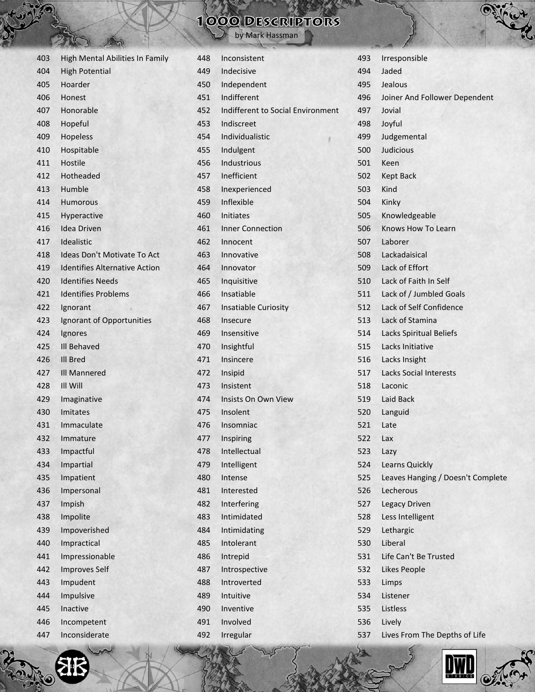by Mark Hassman

| 403 | High Mental Abilities In Family      | 448 | Inconsistent                 |
|-----|--------------------------------------|-----|------------------------------|
| 404 | <b>High Potential</b>                | 449 | Indecisive                   |
| 405 | Hoarder                              | 450 | Independent                  |
| 406 | <b>Honest</b>                        | 451 | Indifferent                  |
| 407 | Honorable                            | 452 | Indifferent to Social Envirg |
| 408 | Hopeful                              | 453 | Indiscreet                   |
| 409 | Hopeless                             | 454 | Individualistic              |
| 410 | Hospitable                           | 455 | Indulgent                    |
| 411 | Hostile                              | 456 | Industrious                  |
| 412 | Hotheaded                            | 457 | Inefficient                  |
| 413 | Humble                               | 458 | Inexperienced                |
| 414 | <b>Humorous</b>                      | 459 | Inflexible                   |
| 415 | Hyperactive                          | 460 | <b>Initiates</b>             |
| 416 | <b>Idea Driven</b>                   | 461 | <b>Inner Connection</b>      |
| 417 | Idealistic                           | 462 | Innocent                     |
| 418 | Ideas Don't Motivate To Act          | 463 | Innovative                   |
| 419 | <b>Identifies Alternative Action</b> | 464 | Innovator                    |
| 420 | <b>Identifies Needs</b>              | 465 | Inquisitive                  |
| 421 | <b>Identifies Problems</b>           | 466 | Insatiable                   |
| 422 | Ignorant                             | 467 | Insatiable Curiosity         |
| 423 | Ignorant of Opportunities            | 468 | Insecure                     |
| 424 | Ignores                              | 469 | Insensitive                  |
| 425 | <b>III Behaved</b>                   | 470 | Insightful                   |
| 426 | Ill Bred                             | 471 | Insincere                    |
| 427 | Ill Mannered                         | 472 | Insipid                      |
| 428 | <b>III Will</b>                      | 473 | Insistent                    |
| 429 | Imaginative                          | 474 | Insists On Own View          |
| 430 | Imitates                             | 475 | Insolent                     |
| 431 | Immaculate                           | 476 | Insomniac                    |
| 432 | Immature                             | 477 | Inspiring                    |
| 433 | Impactful                            | 478 | Intellectual                 |
| 434 | Impartial                            | 479 | Intelligent                  |
| 435 | Impatient                            | 480 | Intense                      |
| 436 | Impersonal                           | 481 | Interested                   |
| 437 | Impish                               | 482 | Interfering                  |
| 438 | Impolite                             | 483 | Intimidated                  |
| 439 | Impoverished                         | 484 | Intimidating                 |
| 440 | Impractical                          | 485 | Intolerant                   |
| 441 | Impressionable                       | 486 | Intrepid                     |
| 442 | <b>Improves Self</b>                 | 487 | Introspective                |
| 443 | Impudent                             | 488 | Introverted                  |
| 444 | Impulsive                            | 489 | Intuitive                    |
| 445 | Inactive                             | 490 | Inventive                    |
| 446 | Incompetent                          | 491 | Involved                     |
| 447 | Inconsiderate                        | 492 | Irregular                    |
|     |                                      |     |                              |

|        | 493 | Irresponsible                     |
|--------|-----|-----------------------------------|
|        | 494 | Jaded                             |
|        | 495 | Jealous                           |
|        | 496 | Joiner And Follower Dependent     |
| onment | 497 | Jovial                            |
|        | 498 | Joyful                            |
|        | 499 | Judgemental                       |
|        | 500 | Judicious                         |
|        | 501 | Keen                              |
|        | 502 | <b>Kept Back</b>                  |
|        | 503 | Kind                              |
|        | 504 | Kinky                             |
|        | 505 | Knowledgeable                     |
|        | 506 | Knows How To Learn                |
|        | 507 | Laborer                           |
|        | 508 | Lackadaisical                     |
|        | 509 | Lack of Effort                    |
|        | 510 | Lack of Faith In Self             |
|        | 511 | Lack of / Jumbled Goals           |
|        | 512 | Lack of Self Confidence           |
|        | 513 | Lack of Stamina                   |
|        | 514 | Lacks Spiritual Beliefs           |
|        | 515 | Lacks Initiative                  |
|        | 516 | Lacks Insight                     |
|        | 517 | <b>Lacks Social Interests</b>     |
|        | 518 | Laconic                           |
|        | 519 | Laid Back                         |
|        | 520 | Languid                           |
|        | 521 | Late                              |
|        | 522 | Lax                               |
|        | 523 | Lazy                              |
|        | 524 | Learns Quickly                    |
|        | 525 | Leaves Hanging / Doesn't Complete |
|        | 526 | Lecherous                         |
|        | 527 | <b>Legacy Driven</b>              |
|        | 528 | Less Intelligent                  |
|        | 529 | Lethargic                         |
|        | 530 | Liberal                           |
|        | 531 | Life Can't Be Trusted             |
|        | 532 | <b>Likes People</b>               |
|        | 533 | Limps                             |
|        | 534 | Listener                          |
|        | 535 | Listless                          |
|        | 536 | Lively                            |
|        | 537 | Lives From The Depths of Life     |
|        |     |                                   |

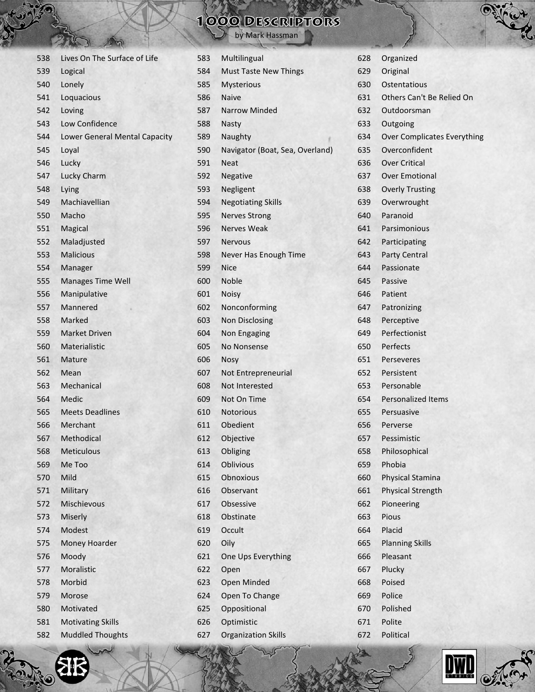by Mark Hassman

| 538 | Lives On The Surface of Life  |
|-----|-------------------------------|
| 539 | Logical                       |
| 540 | Lonely                        |
| 541 | Loquacious                    |
| 542 | Loving                        |
| 543 | Low Confidence                |
| 544 | Lower General Mental Capacity |
| 545 | Loyal                         |
| 546 | Lucky                         |
| 547 | <b>Lucky Charm</b>            |
| 548 | Lying                         |
| 549 | Machiavellian                 |
| 550 | Macho                         |
| 551 | Magical                       |
| 552 | Maladjusted                   |
| 553 | <b>Malicious</b>              |
| 554 | Manager                       |
| 555 | <b>Manages Time Well</b>      |
| 556 | Manipulative                  |
| 557 | Mannered                      |
| 558 | Marked                        |
| 559 | <b>Market Driven</b>          |
| 560 | Materialistic                 |
| 561 | Mature                        |
| 562 | Mean                          |
| 563 | Mechanical                    |
| 564 | Medic                         |
| 565 | <b>Meets Deadlines</b>        |
| 566 | Merchant                      |
| 567 | Methodical                    |
| 568 | <b>Meticulous</b>             |
| 569 | Me Too                        |
| 570 | Mild                          |
| 571 | Military                      |
| 572 | Mischievous                   |
| 573 | Miserly                       |
| 574 | Modest                        |
| 575 | Money Hoarder                 |
| 576 | Moody                         |
| 577 | Moralistic                    |
| 578 | Morbid                        |
| 579 | Morose                        |
| 580 | Motivated                     |
| 581 | <b>Motivating Skills</b>      |
| 582 | <b>Muddled Thoughts</b>       |
|     |                               |

都

O

| 583 | Multilingual                    |
|-----|---------------------------------|
| 584 | <b>Must Taste New Things</b>    |
| 585 | <b>Mysterious</b>               |
| 586 | Naive                           |
| 587 | <b>Narrow Minded</b>            |
| 588 | <b>Nasty</b>                    |
| 589 | Naughty                         |
| 590 | Navigator (Boat, Sea, Overland) |
| 591 | Neat                            |
| 592 | Negative                        |
| 593 | Negligent                       |
| 594 | <b>Negotiating Skills</b>       |
| 595 | <b>Nerves Strong</b>            |
| 596 | <b>Nerves Weak</b>              |
| 597 | <b>Nervous</b>                  |
| 598 | Never Has Enough Time           |
| 599 | Nice                            |
| 600 | Noble                           |
| 601 | <b>Noisy</b>                    |
| 602 | Nonconforming                   |
| 603 | <b>Non Disclosing</b>           |
| 604 | <b>Non Engaging</b>             |
| 605 | No Nonsense                     |
| 606 | Nosy                            |
| 607 | Not Entrepreneurial             |
| 608 | Not Interested                  |
| 609 | Not On Time                     |
| 610 | <b>Notorious</b>                |
| 611 | Obedient                        |
| 612 | Objective                       |
| 613 | Obliging                        |
| 614 | <b>Oblivious</b>                |
| 615 | <b>Obnoxious</b>                |
| 616 | Observant                       |
| 617 | Obsessive                       |
| 618 | Obstinate                       |
| 619 | Occult                          |
| 620 | Oily                            |
| 621 | One Ups Everything              |
| 622 | Open                            |
| 623 | Open Minded                     |
| 624 | Open To Change                  |
| 625 | Oppositional                    |
| 626 | Optimistic                      |
| 627 | <b>Organization Skills</b>      |
|     | The Company                     |

| 628 | Organized                          |  |
|-----|------------------------------------|--|
| 629 | Original                           |  |
| 630 | Ostentatious                       |  |
| 631 | Others Can't Be Relied On          |  |
| 632 | Outdoorsman                        |  |
| 633 | Outgoing                           |  |
| 634 | <b>Over Complicates Everything</b> |  |
| 635 | Overconfident                      |  |
| 636 | <b>Over Critical</b>               |  |
| 637 | <b>Over Emotional</b>              |  |
| 638 | <b>Overly Trusting</b>             |  |
| 639 | Overwrought                        |  |
| 640 | Paranoid                           |  |
| 641 | Parsimonious                       |  |
| 642 | Participating                      |  |
| 643 | <b>Party Central</b>               |  |
| 644 | Passionate                         |  |
| 645 | Passive                            |  |
| 646 | Patient                            |  |
| 647 | Patronizing                        |  |
| 648 | Perceptive                         |  |
| 649 | Perfectionist                      |  |
| 650 | Perfects                           |  |
| 651 | Perseveres                         |  |
| 652 | Persistent                         |  |
| 653 | Personable                         |  |
| 654 | <b>Personalized Items</b>          |  |
| 655 | Persuasive                         |  |
| 656 | Perverse                           |  |
| 657 | Pessimistic                        |  |
| 658 | Philosophical                      |  |
| 659 | Phobia                             |  |
| 660 | Physical Stamina                   |  |
| 661 | <b>Physical Strength</b>           |  |
| 662 | Pioneering                         |  |
| 663 | Pious                              |  |
| 664 | Placid                             |  |
| 665 | <b>Planning Skills</b>             |  |
| 666 | Pleasant                           |  |
| 667 | Plucky                             |  |
| 668 | Poised                             |  |
| 669 | Police                             |  |
| 670 | Polished                           |  |
| 671 | Polite                             |  |
| 672 | Political                          |  |



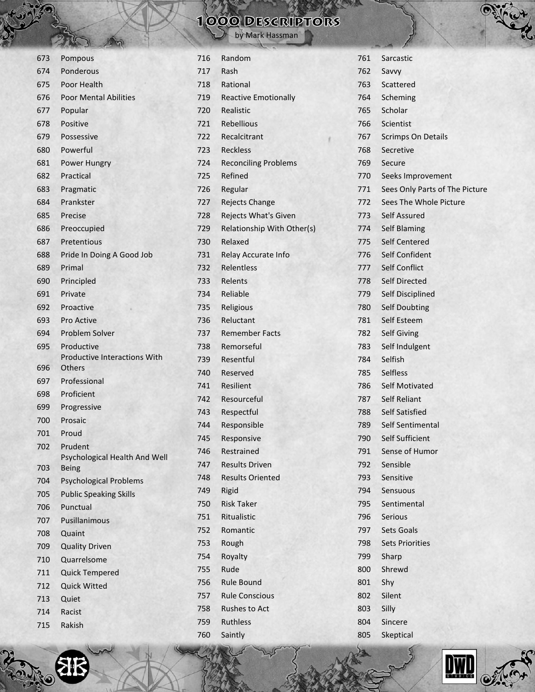by Mark Hassman

| 673 | Pompous                                  |
|-----|------------------------------------------|
| 674 | Ponderous                                |
| 675 | Poor Health                              |
| 676 | <b>Poor Mental Abilities</b>             |
| 677 | Popular                                  |
| 678 | Positive                                 |
| 679 | Possessive                               |
| 680 | Powerful                                 |
| 681 | Power Hungry                             |
| 682 | Practical                                |
| 683 | Pragmatic                                |
| 684 | Prankster                                |
| 685 | Precise                                  |
| 686 | Preoccupied                              |
| 687 | Pretentious                              |
| 688 | Pride In Doing A Good Job                |
| 689 | Primal                                   |
| 690 | Principled                               |
| 691 | Private                                  |
| 692 | Proactive                                |
| 693 | Pro Active                               |
| 694 | <b>Problem Solver</b>                    |
| 695 | Productive                               |
|     | <b>Productive Interactions With</b>      |
| 696 | <b>Others</b>                            |
| 697 | Professional                             |
| 698 | Proficient                               |
| 699 | Progressive                              |
| 700 | Prosaic                                  |
| 701 | Proud                                    |
| 702 | Prudent<br>Psychological Health And Well |
| 703 | <b>Being</b>                             |
| 704 | <b>Psychological Problems</b>            |
| 705 | <b>Public Speaking Skills</b>            |
| 706 | Punctual                                 |
| 707 | Pusillanimous                            |
| 708 | Quaint                                   |
| 709 | <b>Quality Driven</b>                    |
| 710 | Quarrelsome                              |
| 711 | <b>Quick Tempered</b>                    |
| 712 | <b>Quick Witted</b>                      |
| 713 | Quiet                                    |
| 714 | Racist                                   |
| 715 | Rakish                                   |
|     |                                          |

| 716 | Random                      |
|-----|-----------------------------|
| 717 | Rash                        |
| 718 | Rational                    |
| 719 | <b>Reactive Emotionally</b> |
| 720 | Realistic                   |
| 721 | Rebellious                  |
| 722 | Recalcitrant                |
| 723 | <b>Reckless</b>             |
| 724 | <b>Reconciling Problems</b> |
| 725 | Refined                     |
| 726 | Regular                     |
| 727 | <b>Rejects Change</b>       |
| 728 | Rejects What's Given        |
| 729 | Relationship With Other(s)  |
| 730 | Relaxed                     |
| 731 | Relay Accurate Info         |
| 732 | Relentless                  |
| 733 | Relents                     |
| 734 | Reliable                    |
| 735 | Religious                   |
| 736 | Reluctant                   |
| 737 | <b>Remember Facts</b>       |
| 738 | Remorseful                  |
| 739 | Resentful                   |
| 740 | Reserved                    |
| 741 | Resilient                   |
| 742 | Resourceful                 |
| 743 | Respectful                  |
| 744 | Responsible                 |
| 745 | Responsive                  |
| 746 | Restrained                  |
| 747 | <b>Results Driven</b>       |
| 748 | <b>Results Oriented</b>     |
| 749 | Rigid                       |
| 750 | <b>Risk Taker</b>           |
| 751 | Ritualistic                 |
| 752 | Romantic                    |
| 753 | Rough                       |
| 754 | Royalty                     |
| 755 | Rude                        |
| 756 | <b>Rule Bound</b>           |
| 757 | <b>Rule Conscious</b>       |
| 758 | <b>Rushes to Act</b>        |
| 759 | <b>Ruthless</b>             |
| 760 | Saintly                     |
|     |                             |

|      | Þ                              |
|------|--------------------------------|
| 761  | Sarcastic                      |
| 762  | Savvy                          |
| 763  | Scattered                      |
| 764  | Scheming                       |
| 765  | Scholar                        |
| 766  | Scientist                      |
| 767  | <b>Scrimps On Details</b>      |
| 768  | Secretive                      |
| 769  | Secure                         |
| 770  | Seeks Improvement              |
| 771  | Sees Only Parts of The Picture |
| 772  | Sees The Whole Picture         |
| 773  | Self Assured                   |
| 774  | <b>Self Blaming</b>            |
| 775  | Self Centered                  |
| 776  | Self Confident                 |
| 777  | Self Conflict                  |
| 778. | Self Directed                  |
| 779  | Self Disciplined               |
| 780  | <b>Self Doubting</b>           |
| 781  | Self Esteem                    |
| 782  | <b>Self Giving</b>             |
| 783  | Self Indulgent                 |
| 784  | Selfish                        |
| 785  | <b>Selfless</b>                |
| 786  | <b>Self Motivated</b>          |
| 787  | <b>Self Reliant</b>            |
| 788  | <b>Self Satisfied</b>          |
| 789  | Self Sentimental               |
| 790  | <b>Self Sufficient</b>         |
| 791  | <b>Sense of Humor</b>          |
| 792  | Sensible                       |
| 793  | Sensitive                      |
| 794  | Sensuous                       |
| 795  | Sentimental                    |
| 796  | Serious                        |
| 797  | Sets Goals                     |
| 798  | <b>Sets Priorities</b>         |
| 799  | Sharp                          |
| 800  | Shrewd                         |
| 801  | Shy                            |
| 802  | Silent                         |
| 803  | Silly                          |
| 804  | Sincere                        |
| 805  | Skeptical                      |



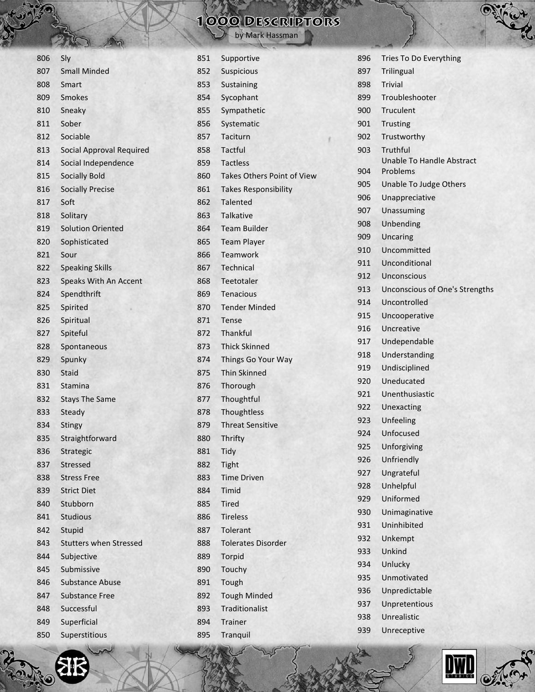by Mark Hassman

| 806 | Sly                             |
|-----|---------------------------------|
| 807 | <b>Small Minded</b>             |
| 808 | Smart                           |
| 809 | <b>Smokes</b>                   |
| 810 | Sneaky                          |
| 811 | Sober                           |
| 812 | Sociable                        |
| 813 | <b>Social Approval Required</b> |
| 814 | Social Independence             |
| 815 | <b>Socially Bold</b>            |
| 816 | <b>Socially Precise</b>         |
| 817 | Soft                            |
| 818 | Solitary                        |
| 819 | <b>Solution Oriented</b>        |
| 820 | Sophisticated                   |
| 821 | Sour                            |
| 822 | <b>Speaking Skills</b>          |
| 823 | <b>Speaks With An Accent</b>    |
| 824 | Spendthrift                     |
| 825 | Spirited                        |
| 826 | Spiritual                       |
| 827 | Spiteful                        |
| 828 | Spontaneous                     |
| 829 | Spunky                          |
| 830 | <b>Staid</b>                    |
| 831 | <b>Stamina</b>                  |
| 832 | <b>Stays The Same</b>           |
| 833 | Steady                          |
| 834 | <b>Stingy</b>                   |
| 835 | Straightforward                 |
| 836 | Strategic                       |
| 837 | Stressed                        |
| 838 | <b>Stress Free</b>              |
| 839 | <b>Strict Diet</b>              |
| 840 | Stubborn                        |
| 841 | <b>Studious</b>                 |
| 842 | Stupid                          |
| 843 | <b>Stutters when Stressed</b>   |
| 844 | Subjective                      |
| 845 | Submissive                      |
| 846 | <b>Substance Abuse</b>          |
| 847 | <b>Substance Free</b>           |
| 848 | Successful                      |
| 849 | Superficial                     |
| 850 | Superstitious                   |

**SH** 

O

| 851 | Supportive                        |
|-----|-----------------------------------|
| 852 | Suspicious                        |
| 853 | Sustaining                        |
| 854 | Sycophant                         |
| 855 | Sympathetic                       |
| 856 | Systematic                        |
| 857 | Taciturn                          |
| 858 | <b>Tactful</b>                    |
| 859 | <b>Tactless</b>                   |
| 860 | <b>Takes Others Point of View</b> |
| 861 | <b>Takes Responsibility</b>       |
| 862 | <b>Talented</b>                   |
| 863 | <b>Talkative</b>                  |
| 864 | Team Builder                      |
| 865 | <b>Team Player</b>                |
| 866 | Teamwork                          |
| 867 | <b>Technical</b>                  |
| 868 | Teetotaler                        |
| 869 | <b>Tenacious</b>                  |
| 870 | <b>Tender Minded</b>              |
| 871 | Tense                             |
| 872 | Thankful                          |
| 873 | <b>Thick Skinned</b>              |
| 874 | Things Go Your Way                |
| 875 | <b>Thin Skinned</b>               |
| 876 | Thorough                          |
| 877 | Thoughtful                        |
| 878 | Thoughtless                       |
| 879 | <b>Threat Sensitive</b>           |
| 880 | Thrifty                           |
| 881 | Tidy                              |
| 882 | Tight                             |
| 883 | <b>Time Driven</b>                |
| 884 | Timid                             |
| 885 | <b>Tired</b>                      |
| 886 | <b>Tireless</b>                   |
| 887 | Tolerant                          |
| 888 | <b>Tolerates Disorder</b>         |
| 889 | Torpid                            |
| 890 | Touchy                            |
| 891 | Tough                             |
| 892 | <b>Tough Minded</b>               |
| 893 | Traditionalist                    |
| 894 | <b>Trainer</b>                    |
| 895 | Tranquil                          |
|     |                                   |

| 896 | Tries To Do Everything           |
|-----|----------------------------------|
| 897 | <b>Trilingual</b>                |
| 898 | <b>Trivial</b>                   |
| 899 | Troubleshooter                   |
| 900 | Truculent                        |
| 901 | <b>Trusting</b>                  |
| 902 | Trustworthy                      |
| 903 | Truthful                         |
|     | <b>Unable To Handle Abstract</b> |
| 904 | Problems                         |
| 905 | Unable To Judge Others           |
| 906 | Unappreciative                   |
| 907 | Unassuming                       |
| 908 | Unbending                        |
| 909 | Uncaring                         |
| 910 | Uncommitted                      |
| 911 | Unconditional                    |
| 912 | Unconscious                      |
| 913 | Unconscious of One's Strengths   |
| 914 | Uncontrolled                     |
| 915 | Uncooperative                    |
| 916 | Uncreative                       |
| 917 | Undependable                     |
| 918 | Understanding                    |
| 919 | Undisciplined                    |
| 920 | Uneducated                       |
| 921 | Unenthusiastic                   |
| 922 | Unexacting                       |
| 923 | Unfeeling                        |
| 924 | Unfocused                        |
| 925 | Unforgiving                      |
| 926 | Unfriendly                       |
| 927 | Ungrateful                       |
| 928 | Unhelpful                        |
| 929 | Uniformed                        |
| 930 | Unimaginative                    |
| 931 | Uninhibited                      |
| 932 | Unkempt                          |
| 933 | Unkind                           |
| 934 | Unlucky                          |
| 935 | Unmotivated                      |
| 936 | Unpredictable                    |
| 937 | Unpretentious                    |
| 938 | Unrealistic                      |
| 939 | Unreceptive                      |



 $\mathcal{O}(\mathcal{N})$